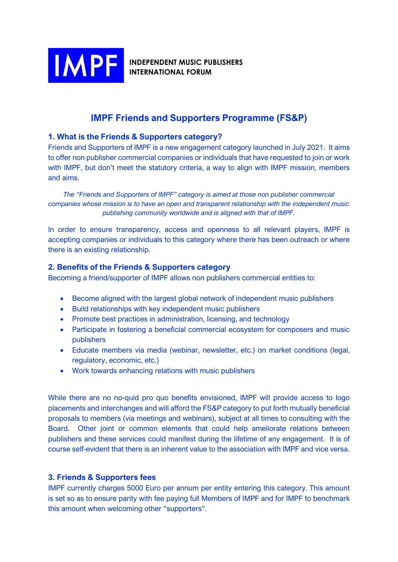

**INDEPENDENT MUSIC PUBLISHERS INTERNATIONAL FORUM** 

# **IMPF Friends and Supporters Programme (FS&P)**

# **1. What is the Friends & Supporters category?**

Friends and Supporters of IMPF is a new engagement category launched in July 2021. It aims to offer non publisher commercial companies or individuals that have requested to join or work with IMPF, but don't meet the statutory criteria, a way to align with IMPF mission, members and aims.

*The "Friends and Supporters of IMPF" category is aimed at those non publisher commercial companies whose mission is to have an open and transparent relationship with the independent music publishing community worldwide and is aligned with that of IMPF.*

In order to ensure transparency, access and openness to all relevant players, IMPF is accepting companies or individuals to this category where there has been outreach or where there is an existing relationship.

# **2. Benefits of the Friends & Supporters category**

Becoming a friend/supporter of IMPF allows non publishers commercial entities to:

- Become aligned with the largest global network of independent music publishers
- Build relationships with key independent music publishers
- Promote best practices in administration, licensing, and technology
- Participate in fostering a beneficial commercial ecosystem for composers and music publishers
- Educate members via media (webinar, newsletter, etc.) on market conditions (legal, regulatory, economic, etc.)
- Work towards enhancing relations with music publishers

While there are no no-quid pro quo benefits envisioned, IMPF will provide access to logo placements and interchanges and will afford the FS&P category to put forth mutually beneficial proposals to members (via meetings and webinars), subject at all times to consulting with the Board. Other joint or common elements that could help ameliorate relations between publishers and these services could manifest during the lifetime of any engagement. It is of course self-evident that there is an inherent value to the association with IMPF and vice versa.

# **3. Friends & Supporters fees**

IMPF currently charges 5000 Euro per annum per entity entering this category. This amount is set so as to ensure parity with fee paying full Members of IMPF and for IMPF to benchmark this amount when welcoming other "supporters".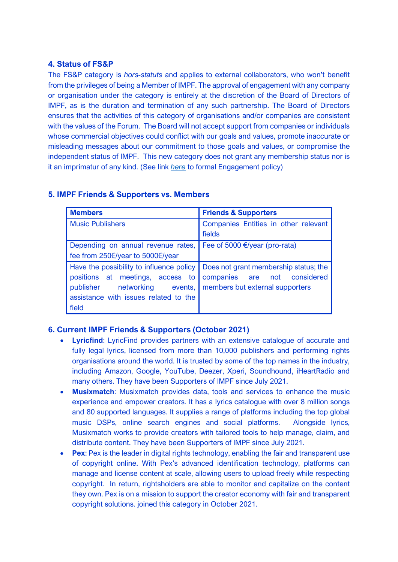## **4. Status of FS&P**

The FS&P category is *hors-statuts* and applies to external collaborators, who won't benefit from the privileges of being a Member of IMPF. The approval of engagement with any company or organisation under the category is entirely at the discretion of the Board of Directors of IMPF, as is the duration and termination of any such partnership. The Board of Directors ensures that the activities of this category of organisations and/or companies are consistent with the values of the Forum. The Board will not accept support from companies or individuals whose commercial objectives could conflict with our goals and values, promote inaccurate or misleading messages about our commitment to those goals and values, or compromise the independent status of IMPF. This new category does not grant any membership status nor is it an imprimatur of any kind. (See link *[here](http://www.impforum.org/wp-content/uploads/2021/10/IMPF-Engagement-Policy-for-Supporters-and-Friends-Commercial-entities.pdf)* to formal Engagement policy)

| <b>Members</b>                           | <b>Friends &amp; Supporters</b>         |
|------------------------------------------|-----------------------------------------|
| <b>Music Publishers</b>                  | Companies Entities in other relevant    |
|                                          | fields                                  |
| Depending on annual revenue rates,       | Fee of 5000 $\epsilon$ /year (pro-rata) |
| fee from 250€/year to 5000€/year         |                                         |
| Have the possibility to influence policy | Does not grant membership status; the   |
| positions at meetings, access to         | companies are not considered            |
| publisher<br>networking events,          | members but external supporters         |
| assistance with issues related to the    |                                         |
| field                                    |                                         |

## **5. IMPF Friends & Supporters vs. Members**

# **6. Current IMPF Friends & Supporters (October 2021)**

- **Lyricfind**: LyricFind provides partners with an extensive catalogue of accurate and fully legal lyrics, licensed from more than 10,000 publishers and performing rights organisations around the world. It is trusted by some of the top names in the industry, including Amazon, Google, YouTube, Deezer, Xperi, Soundhound, iHeartRadio and many others. They have been Supporters of IMPF since July 2021.
- **Musixmatch**: Musixmatch provides data, tools and services to enhance the music experience and empower creators. It has a lyrics catalogue with over 8 million songs and 80 supported languages. It supplies a range of platforms including the top global music DSPs, online search engines and social platforms. Alongside lyrics, Musixmatch works to provide creators with tailored tools to help manage, claim, and distribute content. They have been Supporters of IMPF since July 2021.
- **Pex:** Pex is the leader in digital rights technology, enabling the fair and transparent use of copyright online. With Pex's advanced identification technology, platforms can manage and license content at scale, allowing users to upload freely while respecting copyright. In return, rightsholders are able to monitor and capitalize on the content they own. Pex is on a mission to support the creator economy with fair and transparent copyright solutions. joined this category in October 2021.